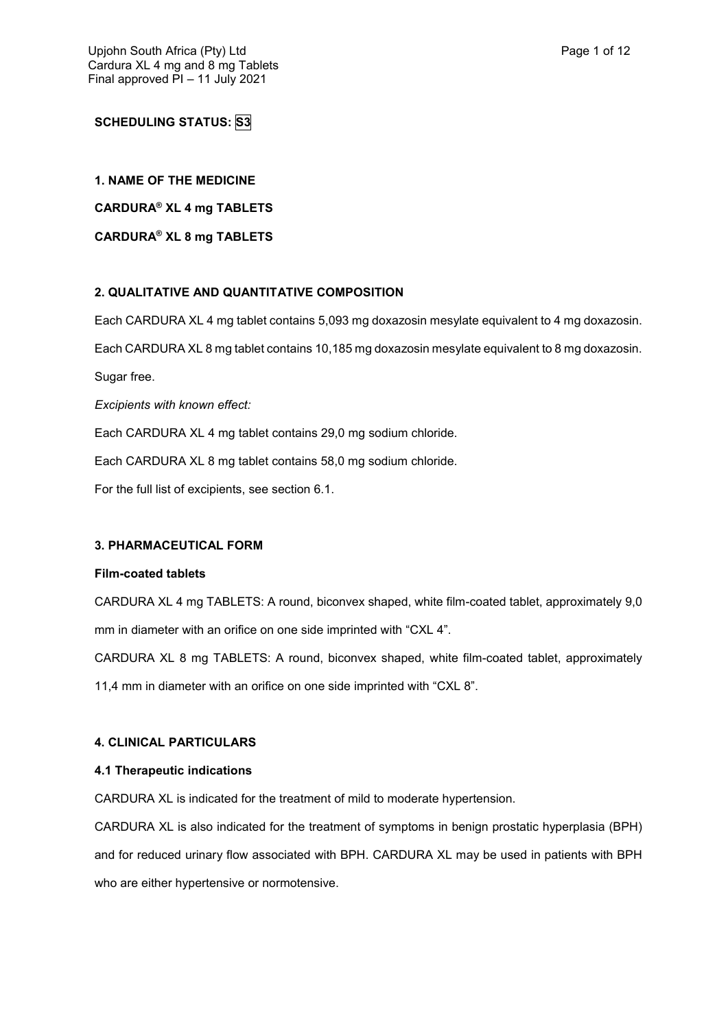# **SCHEDULING STATUS: S3**

## **1. NAME OF THE MEDICINE**

**CARDURA® XL 4 mg TABLETS**

**CARDURA® XL 8 mg TABLETS**

## **2. QUALITATIVE AND QUANTITATIVE COMPOSITION**

Each CARDURA XL 4 mg tablet contains 5,093 mg doxazosin mesylate equivalent to 4 mg doxazosin.

Each CARDURA XL 8 mg tablet contains 10,185 mg doxazosin mesylate equivalent to 8 mg doxazosin.

Sugar free.

*Excipients with known effect:*

Each CARDURA XL 4 mg tablet contains 29,0 mg sodium chloride.

Each CARDURA XL 8 mg tablet contains 58,0 mg sodium chloride.

For the full list of excipients, see section 6.1.

## **3. PHARMACEUTICAL FORM**

## **Film-coated tablets**

CARDURA XL 4 mg TABLETS: A round, biconvex shaped, white film-coated tablet, approximately 9,0 mm in diameter with an orifice on one side imprinted with "CXL 4".

CARDURA XL 8 mg TABLETS: A round, biconvex shaped, white film-coated tablet, approximately 11,4 mm in diameter with an orifice on one side imprinted with "CXL 8".

## **4. CLINICAL PARTICULARS**

## **4.1 Therapeutic indications**

CARDURA XL is indicated for the treatment of mild to moderate hypertension.

CARDURA XL is also indicated for the treatment of symptoms in benign prostatic hyperplasia (BPH) and for reduced urinary flow associated with BPH. CARDURA XL may be used in patients with BPH who are either hypertensive or normotensive.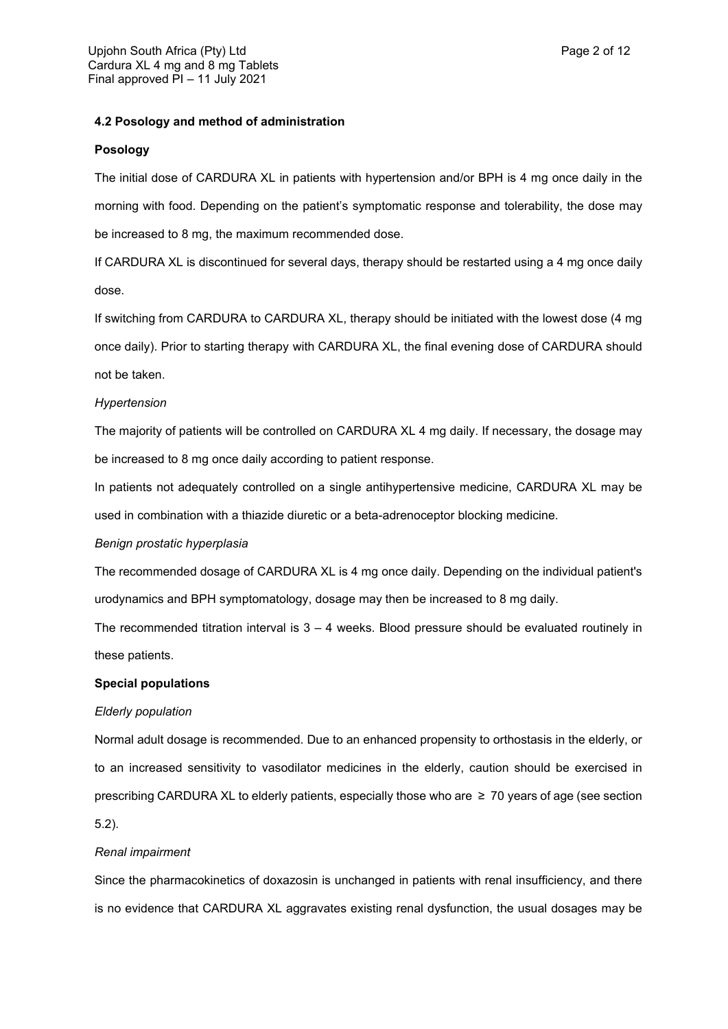## **4.2 Posology and method of administration**

### **Posology**

The initial dose of CARDURA XL in patients with hypertension and/or BPH is 4 mg once daily in the morning with food. Depending on the patient's symptomatic response and tolerability, the dose may be increased to 8 mg, the maximum recommended dose.

If CARDURA XL is discontinued for several days, therapy should be restarted using a 4 mg once daily dose.

If switching from CARDURA to CARDURA XL, therapy should be initiated with the lowest dose (4 mg once daily). Prior to starting therapy with CARDURA XL, the final evening dose of CARDURA should not be taken.

## *Hypertension*

The majority of patients will be controlled on CARDURA XL 4 mg daily. If necessary, the dosage may be increased to 8 mg once daily according to patient response.

In patients not adequately controlled on a single antihypertensive medicine, CARDURA XL may be used in combination with a thiazide diuretic or a beta-adrenoceptor blocking medicine.

## *Benign prostatic hyperplasia*

The recommended dosage of CARDURA XL is 4 mg once daily. Depending on the individual patient's urodynamics and BPH symptomatology, dosage may then be increased to 8 mg daily.

The recommended titration interval is  $3 - 4$  weeks. Blood pressure should be evaluated routinely in these patients.

## **Special populations**

## *Elderly population*

Normal adult dosage is recommended. Due to an enhanced propensity to orthostasis in the elderly, or to an increased sensitivity to vasodilator medicines in the elderly, caution should be exercised in prescribing CARDURA XL to elderly patients, especially those who are ≥ 70 years of age (see section 5.2).

## *Renal impairment*

Since the pharmacokinetics of doxazosin is unchanged in patients with renal insufficiency, and there is no evidence that CARDURA XL aggravates existing renal dysfunction, the usual dosages may be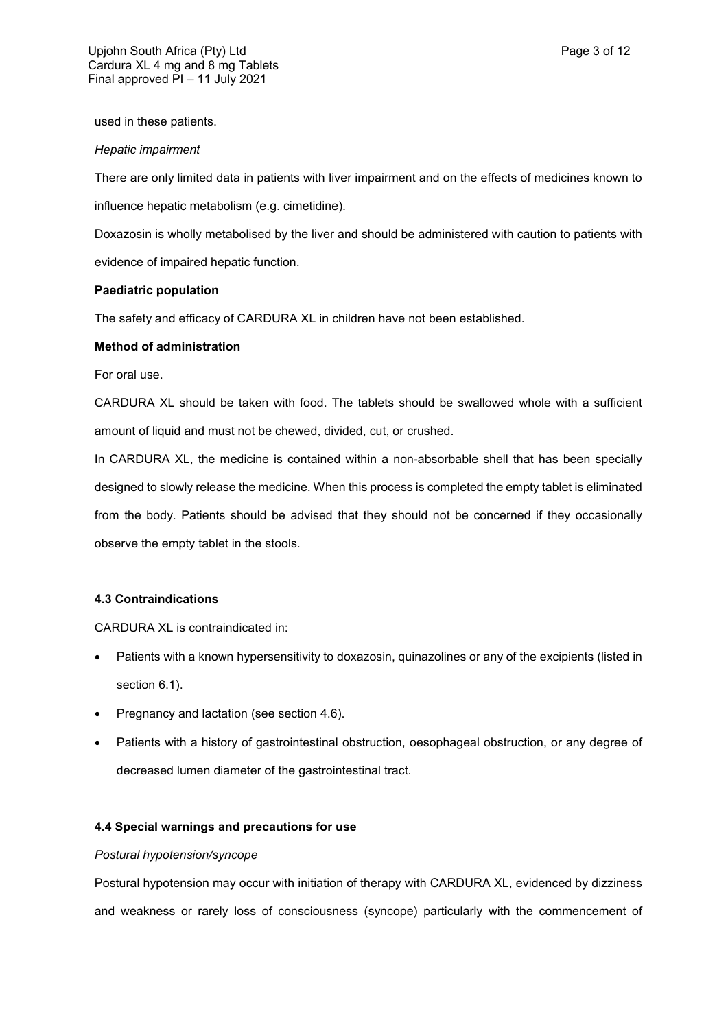used in these patients.

#### *Hepatic impairment*

There are only limited data in patients with liver impairment and on the effects of medicines known to influence hepatic metabolism (e.g. cimetidine).

Doxazosin is wholly metabolised by the liver and should be administered with caution to patients with evidence of impaired hepatic function.

### **Paediatric population**

The safety and efficacy of CARDURA XL in children have not been established.

### **Method of administration**

For oral use.

CARDURA XL should be taken with food. The tablets should be swallowed whole with a sufficient amount of liquid and must not be chewed, divided, cut, or crushed.

In CARDURA XL, the medicine is contained within a non-absorbable shell that has been specially designed to slowly release the medicine. When this process is completed the empty tablet is eliminated from the body. Patients should be advised that they should not be concerned if they occasionally observe the empty tablet in the stools.

## **4.3 Contraindications**

CARDURA XL is contraindicated in:

- Patients with a known hypersensitivity to doxazosin, quinazolines or any of the excipients (listed in section 6.1).
- Pregnancy and lactation (see section 4.6).
- Patients with a history of gastrointestinal obstruction, oesophageal obstruction, or any degree of decreased lumen diameter of the gastrointestinal tract.

## **4.4 Special warnings and precautions for use**

## *Postural hypotension/syncope*

Postural hypotension may occur with initiation of therapy with CARDURA XL, evidenced by dizziness and weakness or rarely loss of consciousness (syncope) particularly with the commencement of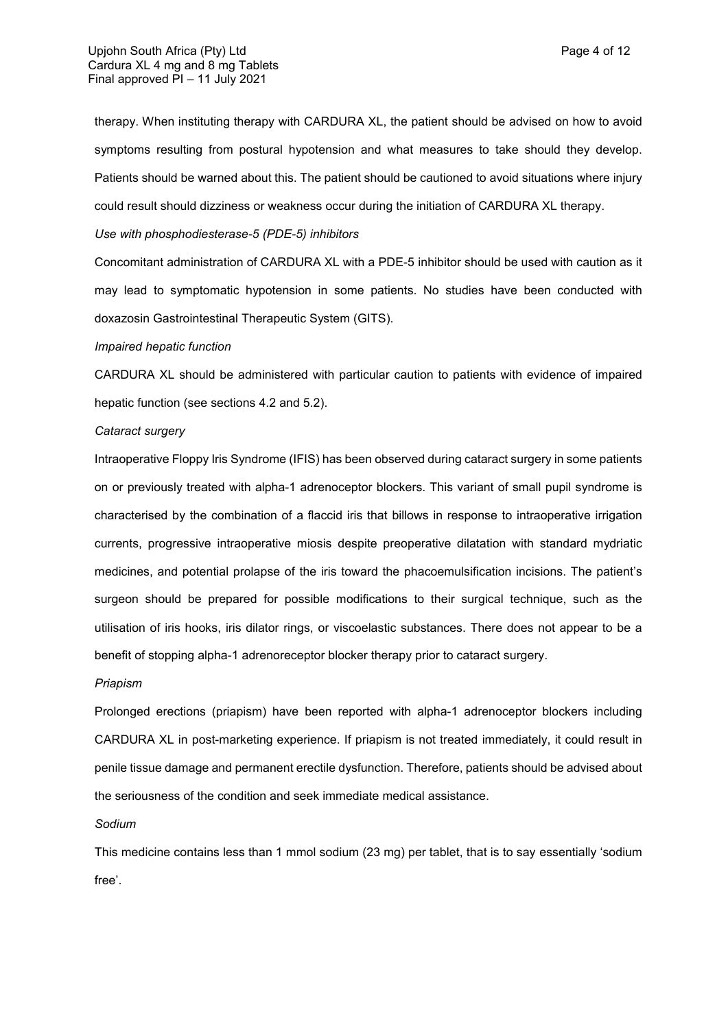therapy. When instituting therapy with CARDURA XL, the patient should be advised on how to avoid symptoms resulting from postural hypotension and what measures to take should they develop. Patients should be warned about this. The patient should be cautioned to avoid situations where injury could result should dizziness or weakness occur during the initiation of CARDURA XL therapy.

## *Use with phosphodiesterase-5 (PDE-5) inhibitors*

Concomitant administration of CARDURA XL with a PDE-5 inhibitor should be used with caution as it may lead to symptomatic hypotension in some patients. No studies have been conducted with doxazosin Gastrointestinal Therapeutic System (GITS).

## *Impaired hepatic function*

CARDURA XL should be administered with particular caution to patients with evidence of impaired hepatic function (see sections 4.2 and 5.2).

#### *Cataract surgery*

Intraoperative Floppy Iris Syndrome (IFIS) has been observed during cataract surgery in some patients on or previously treated with alpha-1 adrenoceptor blockers. This variant of small pupil syndrome is characterised by the combination of a flaccid iris that billows in response to intraoperative irrigation currents, progressive intraoperative miosis despite preoperative dilatation with standard mydriatic medicines, and potential prolapse of the iris toward the phacoemulsification incisions. The patient's surgeon should be prepared for possible modifications to their surgical technique, such as the utilisation of iris hooks, iris dilator rings, or viscoelastic substances. There does not appear to be a benefit of stopping alpha-1 adrenoreceptor blocker therapy prior to cataract surgery.

#### *Priapism*

Prolonged erections (priapism) have been reported with alpha-1 adrenoceptor blockers including CARDURA XL in post-marketing experience. If priapism is not treated immediately, it could result in penile tissue damage and permanent erectile dysfunction. Therefore, patients should be advised about the seriousness of the condition and seek immediate medical assistance.

#### *Sodium*

This medicine contains less than 1 mmol sodium (23 mg) per tablet, that is to say essentially 'sodium free'.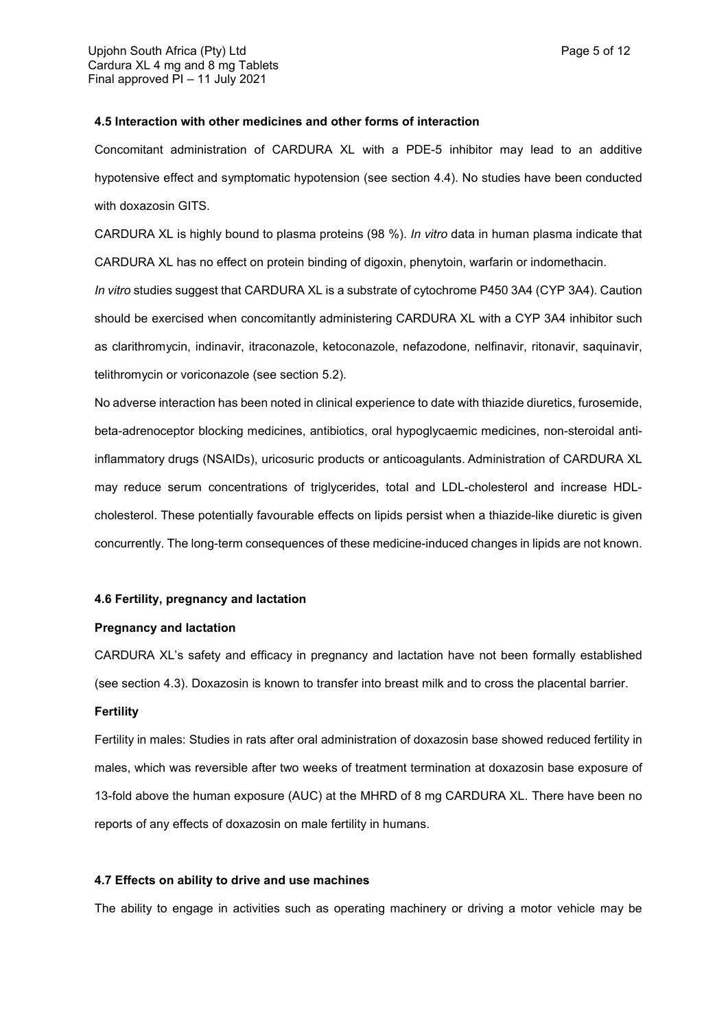### **4.5 Interaction with other medicines and other forms of interaction**

Concomitant administration of CARDURA XL with a PDE-5 inhibitor may lead to an additive hypotensive effect and symptomatic hypotension (see section 4.4). No studies have been conducted with doxazosin GITS.

CARDURA XL is highly bound to plasma proteins (98 %). *In vitro* data in human plasma indicate that CARDURA XL has no effect on protein binding of digoxin, phenytoin, warfarin or indomethacin.

*In vitro* studies suggest that CARDURA XL is a substrate of cytochrome P450 3A4 (CYP 3A4). Caution should be exercised when concomitantly administering CARDURA XL with a CYP 3A4 inhibitor such as clarithromycin, indinavir, itraconazole, ketoconazole, nefazodone, nelfinavir, ritonavir, saquinavir, telithromycin or voriconazole (see section 5.2).

No adverse interaction has been noted in clinical experience to date with thiazide diuretics, furosemide, beta-adrenoceptor blocking medicines, antibiotics, oral hypoglycaemic medicines, non-steroidal antiinflammatory drugs (NSAIDs), uricosuric products or anticoagulants. Administration of CARDURA XL may reduce serum concentrations of triglycerides, total and LDL-cholesterol and increase HDLcholesterol. These potentially favourable effects on lipids persist when a thiazide-like diuretic is given concurrently. The long-term consequences of these medicine-induced changes in lipids are not known.

#### **4.6 Fertility, pregnancy and lactation**

#### **Pregnancy and lactation**

CARDURA XL's safety and efficacy in pregnancy and lactation have not been formally established (see section 4.3). Doxazosin is known to transfer into breast milk and to cross the placental barrier.

#### **Fertility**

Fertility in males: Studies in rats after oral administration of doxazosin base showed reduced fertility in males, which was reversible after two weeks of treatment termination at doxazosin base exposure of 13-fold above the human exposure (AUC) at the MHRD of 8 mg CARDURA XL. There have been no reports of any effects of doxazosin on male fertility in humans.

### **4.7 Effects on ability to drive and use machines**

The ability to engage in activities such as operating machinery or driving a motor vehicle may be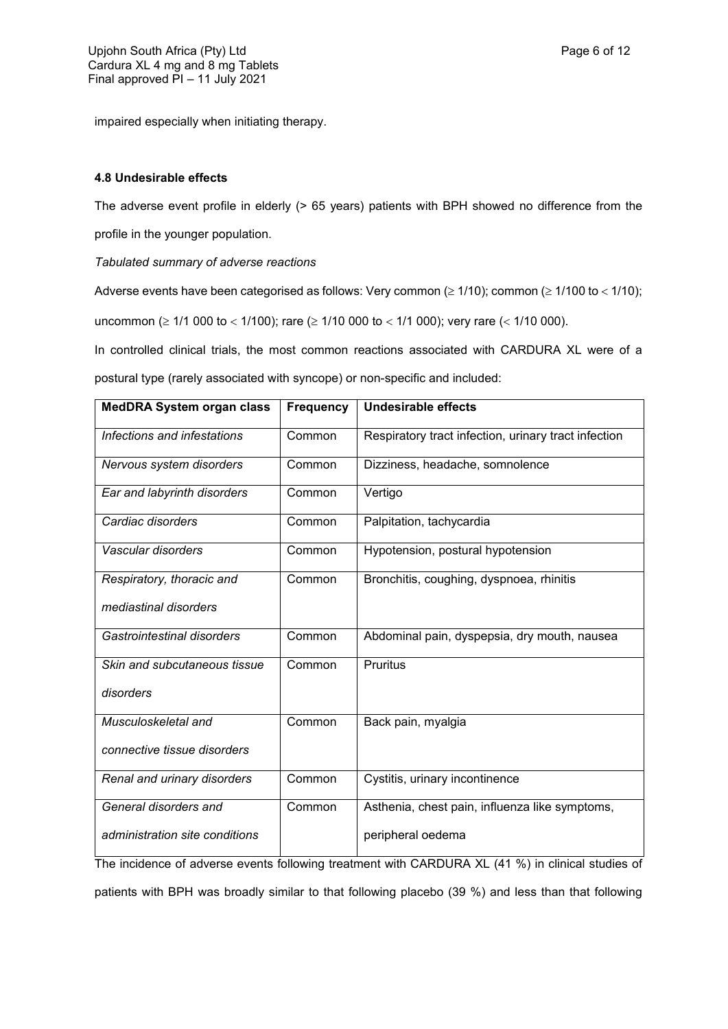impaired especially when initiating therapy.

## **4.8 Undesirable effects**

The adverse event profile in elderly (> 65 years) patients with BPH showed no difference from the profile in the younger population.

*Tabulated summary of adverse reactions*

Adverse events have been categorised as follows: Very common ( $\geq 1/10$ ); common ( $\geq 1/100$  to  $< 1/10$ ); uncommon ( $\geq 1/1$  000 to < 1/100); rare ( $\geq 1/10$  000 to < 1/1 000); very rare (< 1/10 000).

In controlled clinical trials, the most common reactions associated with CARDURA XL were of a postural type (rarely associated with syncope) or non-specific and included:

| <b>MedDRA System organ class</b> | <b>Frequency</b> | <b>Undesirable effects</b>                           |
|----------------------------------|------------------|------------------------------------------------------|
| Infections and infestations      | Common           | Respiratory tract infection, urinary tract infection |
| Nervous system disorders         | Common           | Dizziness, headache, somnolence                      |
| Ear and labyrinth disorders      | Common           | Vertigo                                              |
| Cardiac disorders                | Common           | Palpitation, tachycardia                             |
| Vascular disorders               | Common           | Hypotension, postural hypotension                    |
| Respiratory, thoracic and        | Common           | Bronchitis, coughing, dyspnoea, rhinitis             |
| mediastinal disorders            |                  |                                                      |
| Gastrointestinal disorders       | Common           | Abdominal pain, dyspepsia, dry mouth, nausea         |
| Skin and subcutaneous tissue     | Common           | <b>Pruritus</b>                                      |
| disorders                        |                  |                                                      |
| Musculoskeletal and              | Common           | Back pain, myalgia                                   |
| connective tissue disorders      |                  |                                                      |
| Renal and urinary disorders      | Common           | Cystitis, urinary incontinence                       |
| General disorders and            | Common           | Asthenia, chest pain, influenza like symptoms,       |
| administration site conditions   |                  | peripheral oedema                                    |

The incidence of adverse events following treatment with CARDURA XL (41 %) in clinical studies of patients with BPH was broadly similar to that following placebo (39 %) and less than that following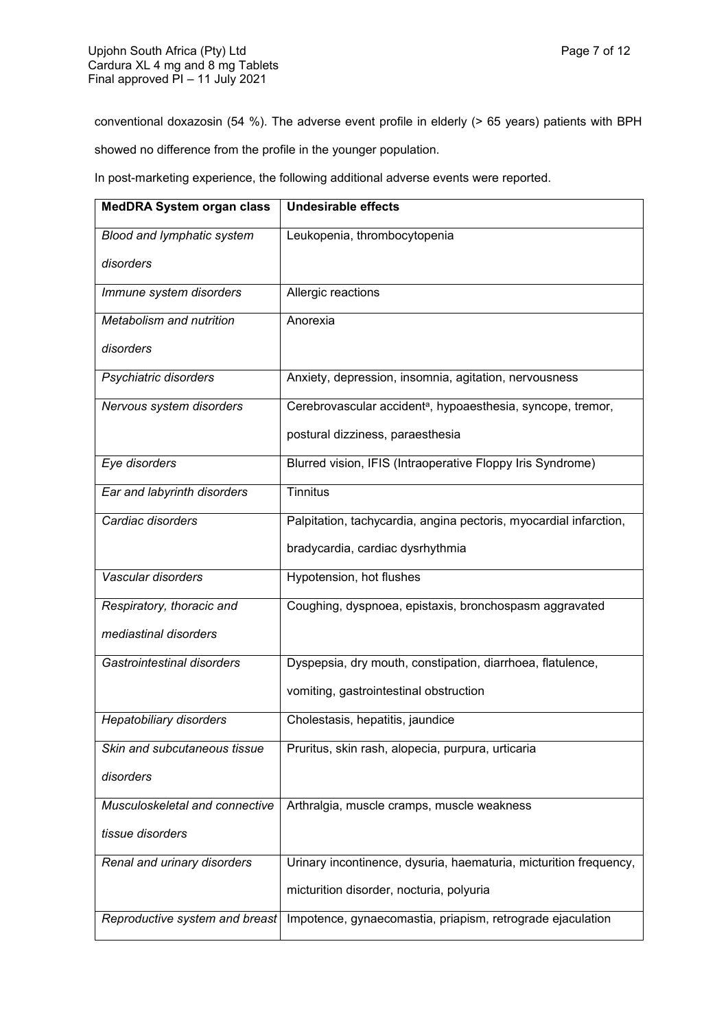conventional doxazosin (54 %). The adverse event profile in elderly (> 65 years) patients with BPH showed no difference from the profile in the younger population.

In post-marketing experience, the following additional adverse events were reported.

| <b>MedDRA System organ class</b> | <b>Undesirable effects</b>                                              |
|----------------------------------|-------------------------------------------------------------------------|
| Blood and lymphatic system       | Leukopenia, thrombocytopenia                                            |
| disorders                        |                                                                         |
| Immune system disorders          | Allergic reactions                                                      |
| Metabolism and nutrition         | Anorexia                                                                |
| disorders                        |                                                                         |
| Psychiatric disorders            | Anxiety, depression, insomnia, agitation, nervousness                   |
| Nervous system disorders         | Cerebrovascular accident <sup>a</sup> , hypoaesthesia, syncope, tremor, |
|                                  | postural dizziness, paraesthesia                                        |
| Eye disorders                    | Blurred vision, IFIS (Intraoperative Floppy Iris Syndrome)              |
| Ear and labyrinth disorders      | <b>Tinnitus</b>                                                         |
| Cardiac disorders                | Palpitation, tachycardia, angina pectoris, myocardial infarction,       |
|                                  | bradycardia, cardiac dysrhythmia                                        |
| Vascular disorders               | Hypotension, hot flushes                                                |
| Respiratory, thoracic and        | Coughing, dyspnoea, epistaxis, bronchospasm aggravated                  |
| mediastinal disorders            |                                                                         |
| Gastrointestinal disorders       | Dyspepsia, dry mouth, constipation, diarrhoea, flatulence,              |
|                                  | vomiting, gastrointestinal obstruction                                  |
| <b>Hepatobiliary disorders</b>   | Cholestasis, hepatitis, jaundice                                        |
| Skin and subcutaneous tissue     | Pruritus, skin rash, alopecia, purpura, urticaria                       |
| disorders                        |                                                                         |
| Musculoskeletal and connective   | Arthralgia, muscle cramps, muscle weakness                              |
| tissue disorders                 |                                                                         |
| Renal and urinary disorders      | Urinary incontinence, dysuria, haematuria, micturition frequency,       |
|                                  | micturition disorder, nocturia, polyuria                                |
| Reproductive system and breast   | Impotence, gynaecomastia, priapism, retrograde ejaculation              |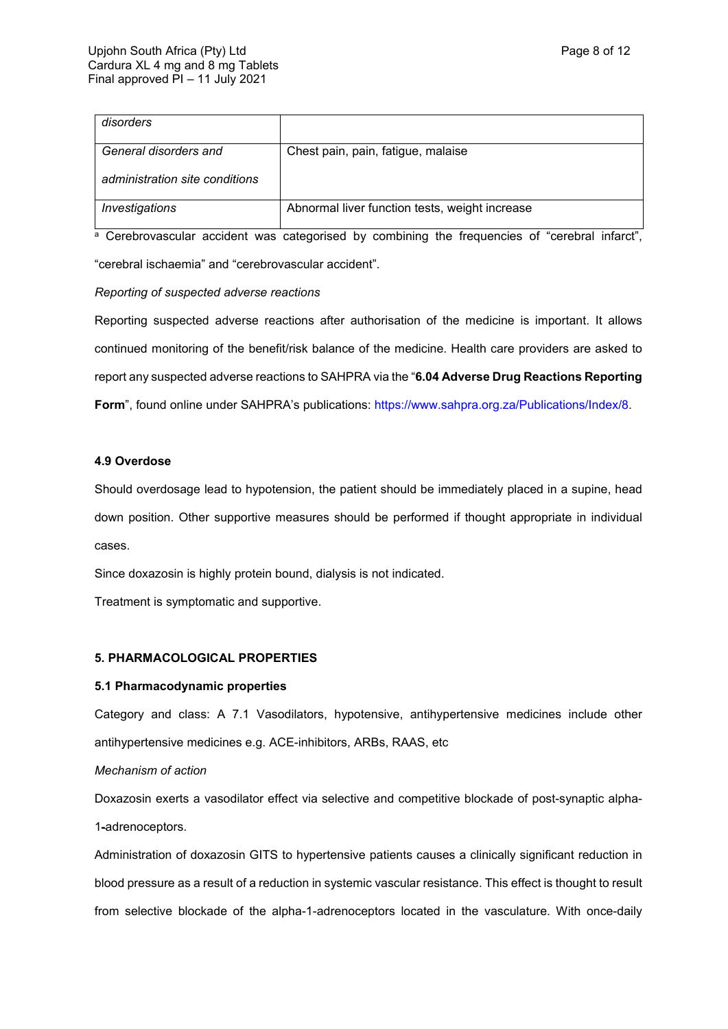| disorders                      |                                                |
|--------------------------------|------------------------------------------------|
| General disorders and          | Chest pain, pain, fatigue, malaise             |
| administration site conditions |                                                |
| Investigations                 | Abnormal liver function tests, weight increase |

a Cerebrovascular accident was categorised by combining the frequencies of "cerebral infarct", "cerebral ischaemia" and "cerebrovascular accident".

## *Reporting of suspected adverse reactions*

Reporting suspected adverse reactions after authorisation of the medicine is important. It allows continued monitoring of the benefit/risk balance of the medicine. Health care providers are asked to report any suspected adverse reactions to SAHPRA via the "**6.04 Adverse Drug Reactions Reporting Form**", found online under SAHPRA's publications:<https://www.sahpra.org.za/Publications/Index/8>.

## **4.9 Overdose**

Should overdosage lead to hypotension, the patient should be immediately placed in a supine, head down position. Other supportive measures should be performed if thought appropriate in individual cases.

Since doxazosin is highly protein bound, dialysis is not indicated.

Treatment is symptomatic and supportive.

## **5. PHARMACOLOGICAL PROPERTIES**

## **5.1 Pharmacodynamic properties**

Category and class: A 7.1 Vasodilators, hypotensive, antihypertensive medicines include other antihypertensive medicines e.g. ACE-inhibitors, ARBs, RAAS, etc

## *Mechanism of action*

Doxazosin exerts a vasodilator effect via selective and competitive blockade of post-synaptic alpha-1-adrenoceptors.

Administration of doxazosin GITS to hypertensive patients causes a clinically significant reduction in blood pressure as a result of a reduction in systemic vascular resistance. This effect is thought to result from selective blockade of the alpha-1-adrenoceptors located in the vasculature. With once-daily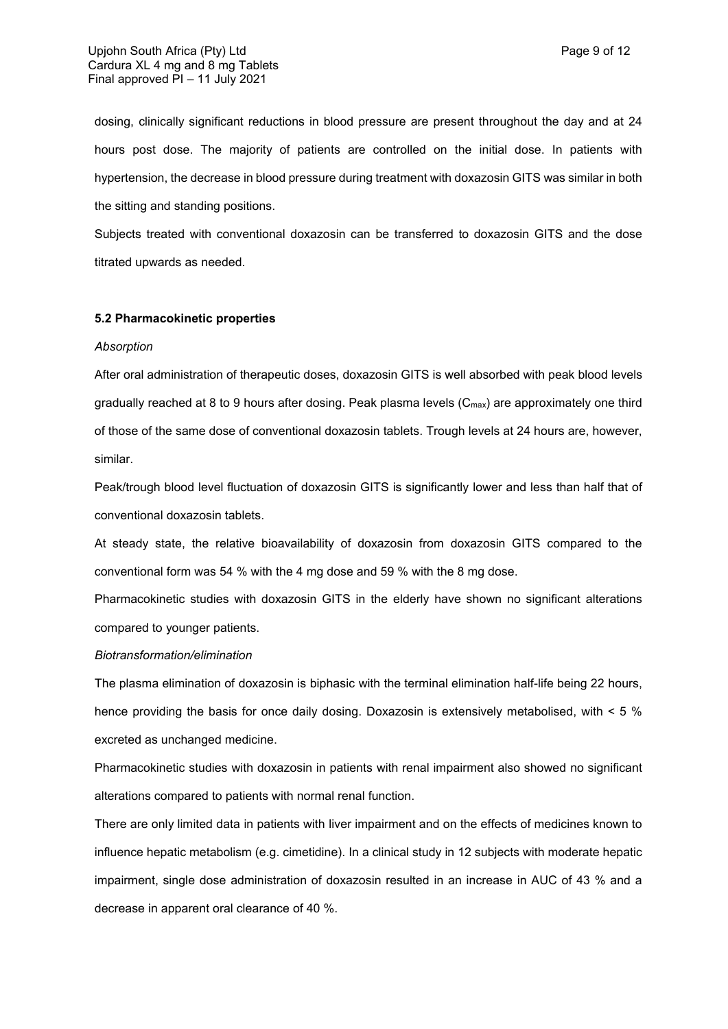dosing, clinically significant reductions in blood pressure are present throughout the day and at 24 hours post dose. The majority of patients are controlled on the initial dose. In patients with hypertension, the decrease in blood pressure during treatment with doxazosin GITS was similar in both the sitting and standing positions.

Subjects treated with conventional doxazosin can be transferred to doxazosin GITS and the dose titrated upwards as needed.

### **5.2 Pharmacokinetic properties**

#### *Absorption*

After oral administration of therapeutic doses, doxazosin GITS is well absorbed with peak blood levels gradually reached at 8 to 9 hours after dosing. Peak plasma levels  $(C_{max})$  are approximately one third of those of the same dose of conventional doxazosin tablets. Trough levels at 24 hours are, however, similar.

Peak/trough blood level fluctuation of doxazosin GITS is significantly lower and less than half that of conventional doxazosin tablets.

At steady state, the relative bioavailability of doxazosin from doxazosin GITS compared to the conventional form was 54 % with the 4 mg dose and 59 % with the 8 mg dose.

Pharmacokinetic studies with doxazosin GITS in the elderly have shown no significant alterations compared to younger patients.

#### *Biotransformation/elimination*

The plasma elimination of doxazosin is biphasic with the terminal elimination half-life being 22 hours, hence providing the basis for once daily dosing. Doxazosin is extensively metabolised, with < 5 % excreted as unchanged medicine.

Pharmacokinetic studies with doxazosin in patients with renal impairment also showed no significant alterations compared to patients with normal renal function.

There are only limited data in patients with liver impairment and on the effects of medicines known to influence hepatic metabolism (e.g. cimetidine). In a clinical study in 12 subjects with moderate hepatic impairment, single dose administration of doxazosin resulted in an increase in AUC of 43 % and a decrease in apparent oral clearance of 40 %.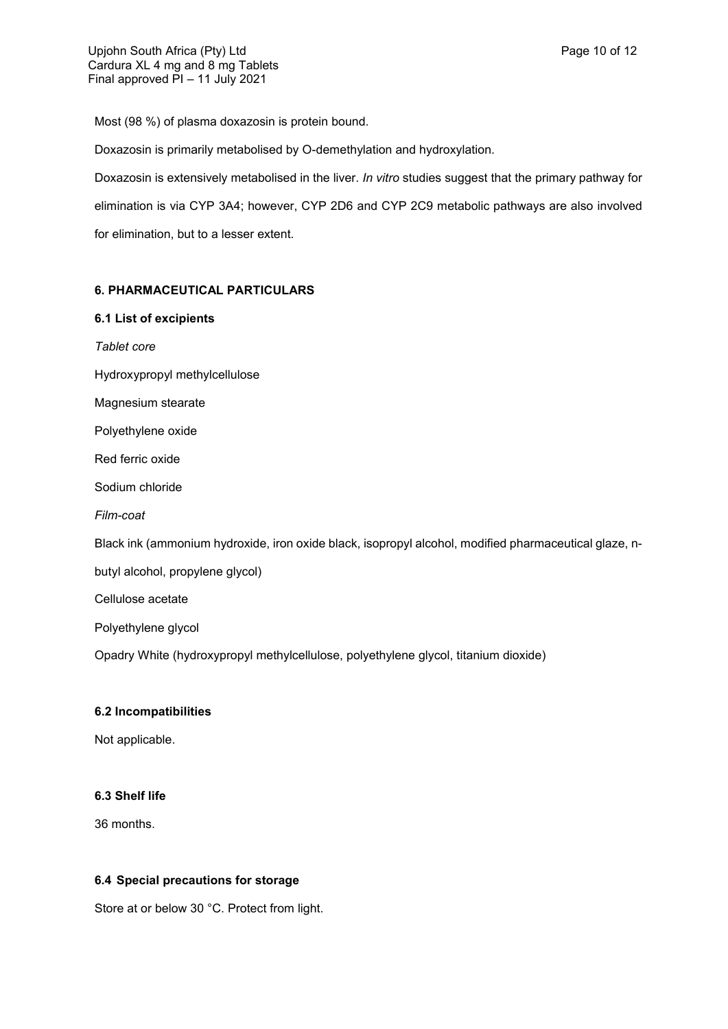Most (98 %) of plasma doxazosin is protein bound.

Doxazosin is primarily metabolised by O-demethylation and hydroxylation.

Doxazosin is extensively metabolised in the liver. *In vitro* studies suggest that the primary pathway for elimination is via CYP 3A4; however, CYP 2D6 and CYP 2C9 metabolic pathways are also involved for elimination, but to a lesser extent.

## **6. PHARMACEUTICAL PARTICULARS**

## **6.1 List of excipients**

*Tablet core* Hydroxypropyl methylcellulose Magnesium stearate Polyethylene oxide Red ferric oxide Sodium chloride *Film-coat* Black ink (ammonium hydroxide, iron oxide black, isopropyl alcohol, modified pharmaceutical glaze, nbutyl alcohol, propylene glycol) Cellulose acetate Polyethylene glycol Opadry White (hydroxypropyl methylcellulose, polyethylene glycol, titanium dioxide)

## **6.2 Incompatibilities**

Not applicable.

## **6.3 Shelf life**

36 months.

## **6.4 Special precautions for storage**

Store at or below 30 °C. Protect from light.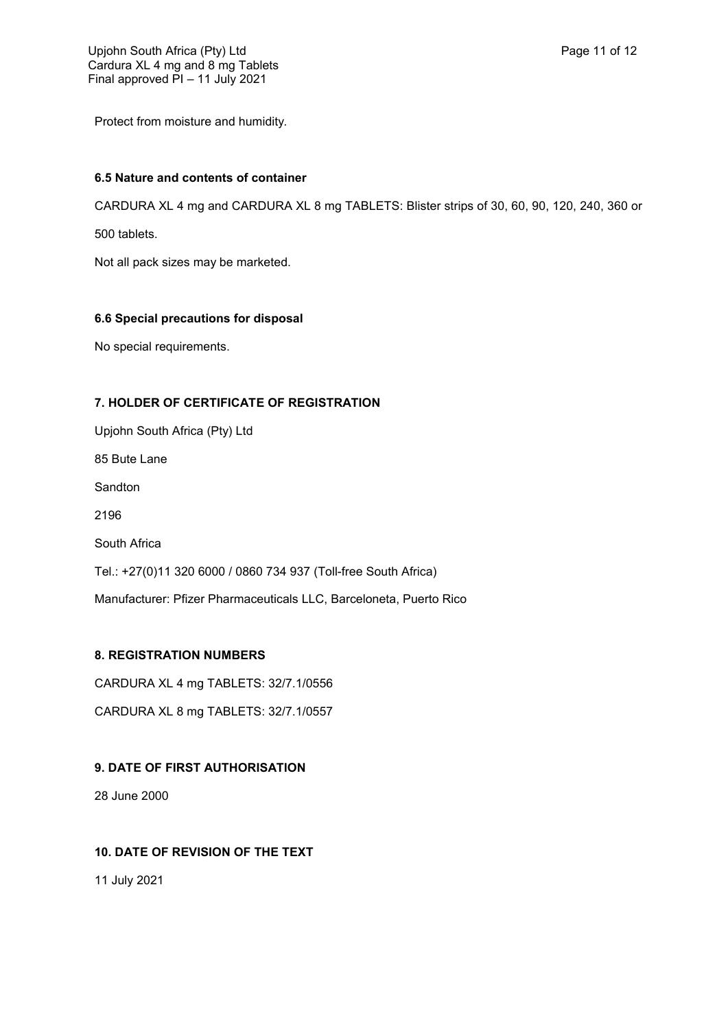Protect from moisture and humidity*.*

## **6.5 Nature and contents of container**

CARDURA XL 4 mg and CARDURA XL 8 mg TABLETS: Blister strips of 30, 60, 90, 120, 240, 360 or

500 tablets.

Not all pack sizes may be marketed.

## **6.6 Special precautions for disposal**

No special requirements.

## **7. HOLDER OF CERTIFICATE OF REGISTRATION**

Upjohn South Africa (Pty) Ltd 85 Bute Lane Sandton 2196 South Africa Tel.: +27(0)11 320 6000 / 0860 734 937 (Toll-free South Africa) Manufacturer: Pfizer Pharmaceuticals LLC, Barceloneta, Puerto Rico

## **8. REGISTRATION NUMBERS**

CARDURA XL 4 mg TABLETS: 32/7.1/0556

CARDURA XL 8 mg TABLETS: 32/7.1/0557

## **9. DATE OF FIRST AUTHORISATION**

28 June 2000

## **10. DATE OF REVISION OF THE TEXT**

11 July 2021